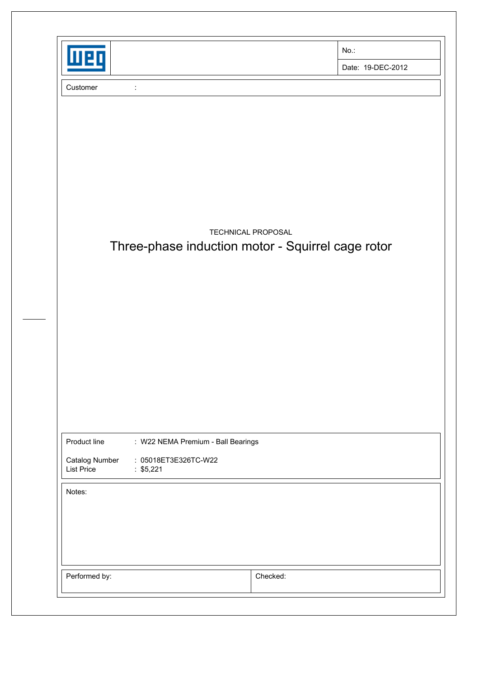| 11 P.D                                                               |                                                            |                    | No.:                                              |
|----------------------------------------------------------------------|------------------------------------------------------------|--------------------|---------------------------------------------------|
|                                                                      |                                                            |                    | Date: 19-DEC-2012                                 |
| Customer                                                             | ÷                                                          |                    |                                                   |
|                                                                      |                                                            |                    |                                                   |
|                                                                      |                                                            |                    |                                                   |
|                                                                      |                                                            |                    |                                                   |
|                                                                      |                                                            |                    |                                                   |
|                                                                      |                                                            |                    |                                                   |
|                                                                      |                                                            | TECHNICAL PROPOSAL | Three-phase induction motor - Squirrel cage rotor |
|                                                                      |                                                            |                    |                                                   |
|                                                                      |                                                            |                    |                                                   |
|                                                                      |                                                            |                    |                                                   |
|                                                                      |                                                            |                    |                                                   |
|                                                                      |                                                            |                    |                                                   |
|                                                                      |                                                            |                    |                                                   |
|                                                                      |                                                            |                    |                                                   |
|                                                                      |                                                            |                    |                                                   |
|                                                                      |                                                            |                    |                                                   |
|                                                                      | : W22 NEMA Premium - Ball Bearings<br>: 05018ET3E326TC-W22 |                    |                                                   |
|                                                                      | : $$5,221$                                                 |                    |                                                   |
|                                                                      |                                                            |                    |                                                   |
| Product line<br><b>Catalog Number</b><br><b>List Price</b><br>Notes: |                                                            |                    |                                                   |
|                                                                      |                                                            |                    |                                                   |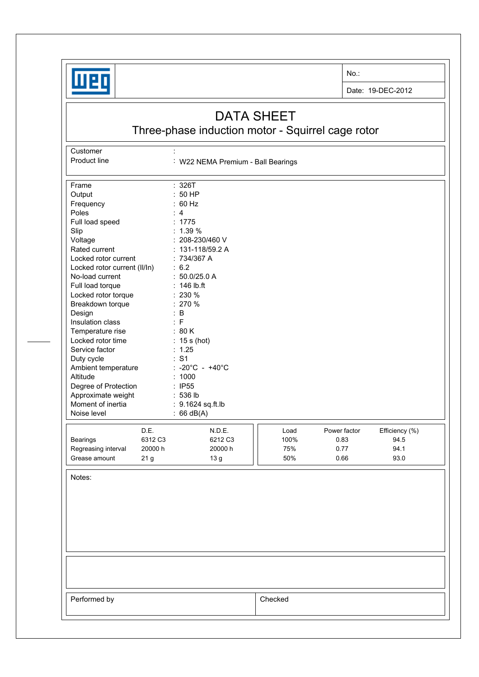

**Customer** 

No.:

Date: 19-DEC-2012

## DATA SHEET

Three-phase induction motor - Squirrel cage rotor

Product line : W22 NEMA Premium - Ball Bearings Frame : 326T Output : 50 HP<br>Frequency : 60 Hz Frequency Poles : 4 Full load speed : 1775 Slip : 1.39 % Voltage : 208-230/460 V Rated current : 131-118/59.2 A Locked rotor current : 734/367 A Locked rotor current (II/In) : 6.2 No-load current : 50.0/25.0 A Full load torque : 146 lb.ft Locked rotor torque : 230 % Breakdown torque : 270 % Design : B Insulation class : F Temperature rise : 80 K Locked rotor time : 15 s (hot) Service factor : 1.25 Duty cycle  $\qquad \qquad : S1$ Ambient temperature : -20°C - +40°C Altitude : 1000 Degree of Protection : IP55 Approximate weight : 536 lb Moment of inertia : 9.1624 sq.ft.lb Noise level : 66 dB(A) D.E. N.D.E. **N.D.E. Load** Power factor Efficiency (%) Bearings 6312 C3 6212 C3 100% 0.83 94.5 Regreasing interval 20000 h 20000 h  $\vert$  75% 0.77 94.1 Grease amount  $21 g$   $13 g$   $1$   $50\%$   $0.66$  93.0 Notes: Performed by **Checked**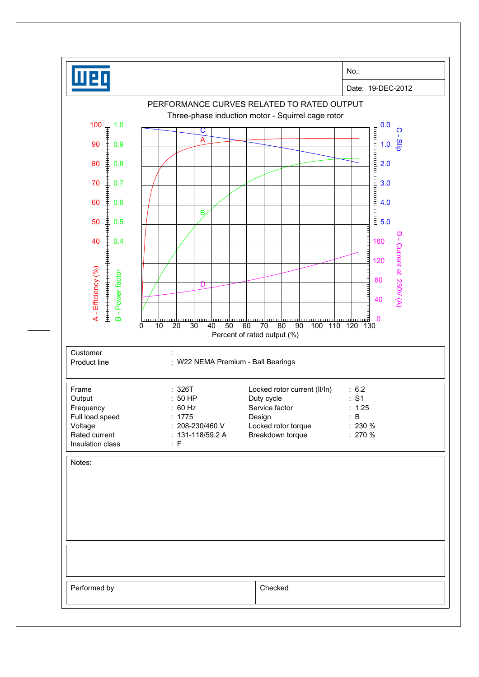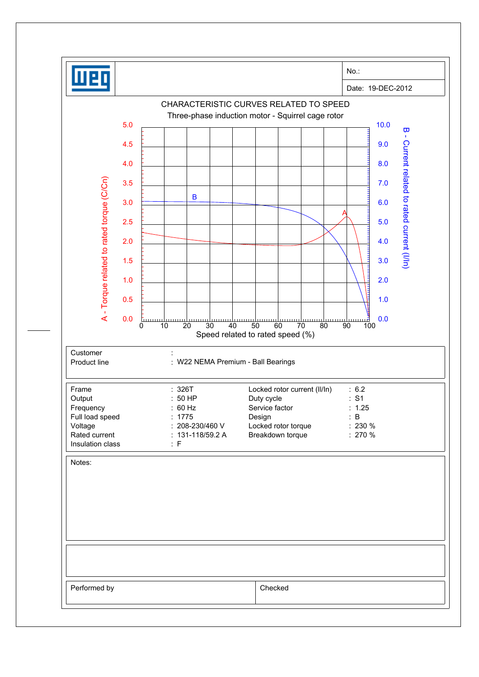|                                                                  | Date: 19-DEC-2012                                                      |                          |                            |                            |                                                                                                       |                                                                         |  |  |
|------------------------------------------------------------------|------------------------------------------------------------------------|--------------------------|----------------------------|----------------------------|-------------------------------------------------------------------------------------------------------|-------------------------------------------------------------------------|--|--|
|                                                                  | CHARACTERISTIC CURVES RELATED TO SPEED                                 |                          |                            |                            |                                                                                                       |                                                                         |  |  |
| Three-phase induction motor - Squirrel cage rotor<br>5.0<br>10.0 |                                                                        |                          |                            |                            |                                                                                                       |                                                                         |  |  |
|                                                                  |                                                                        |                          |                            |                            |                                                                                                       | $\overline{\mathbf{u}}$<br>$\mathbf{I}$<br>9.0                          |  |  |
|                                                                  |                                                                        |                          |                            |                            |                                                                                                       |                                                                         |  |  |
|                                                                  |                                                                        |                          |                            |                            |                                                                                                       | 8.0                                                                     |  |  |
|                                                                  |                                                                        |                          |                            |                            |                                                                                                       | 7.0                                                                     |  |  |
| 3.0                                                              |                                                                        |                          |                            |                            |                                                                                                       | 6.0                                                                     |  |  |
| 2.5                                                              |                                                                        |                          |                            |                            |                                                                                                       | 5.0                                                                     |  |  |
| 2.0                                                              |                                                                        |                          |                            |                            |                                                                                                       | 4.0                                                                     |  |  |
| 1.5                                                              |                                                                        |                          |                            |                            |                                                                                                       | Current related to rated current (I/In)<br>3.0                          |  |  |
| 1.0                                                              |                                                                        |                          |                            |                            |                                                                                                       | шш<br>2.0                                                               |  |  |
|                                                                  |                                                                        |                          |                            |                            |                                                                                                       | <b>TELEVILLE</b><br>1.0                                                 |  |  |
|                                                                  |                                                                        |                          |                            |                            |                                                                                                       |                                                                         |  |  |
| 0                                                                | $\overline{20}$<br>10                                                  | 40                       | 60                         | 70                         | uuur<br>90                                                                                            | 0.0<br>100                                                              |  |  |
|                                                                  |                                                                        |                          |                            |                            |                                                                                                       |                                                                         |  |  |
|                                                                  |                                                                        |                          |                            |                            |                                                                                                       |                                                                         |  |  |
|                                                                  |                                                                        |                          |                            |                            |                                                                                                       |                                                                         |  |  |
|                                                                  | :50HP                                                                  |                          |                            | : S1                       |                                                                                                       |                                                                         |  |  |
|                                                                  | : 60 Hz<br>Service factor<br>: 1775                                    |                          |                            |                            | : 1.25<br>: B                                                                                         |                                                                         |  |  |
|                                                                  | : 208-230/460 V<br>Locked rotor torque                                 |                          |                            |                            |                                                                                                       |                                                                         |  |  |
|                                                                  | : F                                                                    |                          |                            |                            |                                                                                                       |                                                                         |  |  |
|                                                                  |                                                                        |                          |                            |                            |                                                                                                       |                                                                         |  |  |
|                                                                  |                                                                        |                          |                            |                            |                                                                                                       |                                                                         |  |  |
|                                                                  |                                                                        |                          |                            |                            |                                                                                                       |                                                                         |  |  |
|                                                                  |                                                                        |                          |                            |                            |                                                                                                       |                                                                         |  |  |
|                                                                  |                                                                        |                          |                            |                            |                                                                                                       |                                                                         |  |  |
|                                                                  |                                                                        |                          |                            |                            |                                                                                                       |                                                                         |  |  |
|                                                                  |                                                                        |                          |                            |                            |                                                                                                       |                                                                         |  |  |
|                                                                  |                                                                        |                          |                            |                            |                                                                                                       |                                                                         |  |  |
|                                                                  | 4.5<br>4.0<br>3.5<br>0.5<br>0.0<br>Full load speed<br>Insulation class | B<br>111111111<br>: 326T | 30<br>$: 131 - 118/59.2 A$ | 50<br>Duty cycle<br>Design | Speed related to rated speed (%)<br>: W22 NEMA Premium - Ball Bearings<br>Breakdown torque<br>Checked | 80<br>Locked rotor current (II/In)<br>: 6.2<br>$: 230 \%$<br>$: 270 \%$ |  |  |